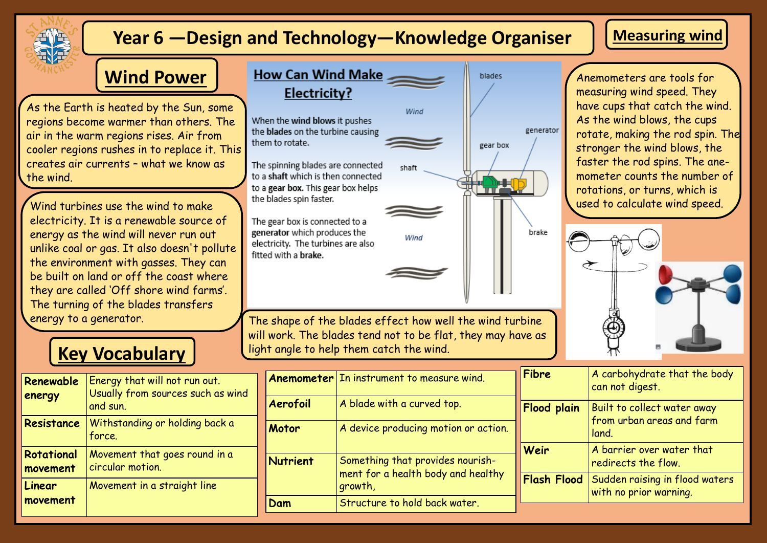